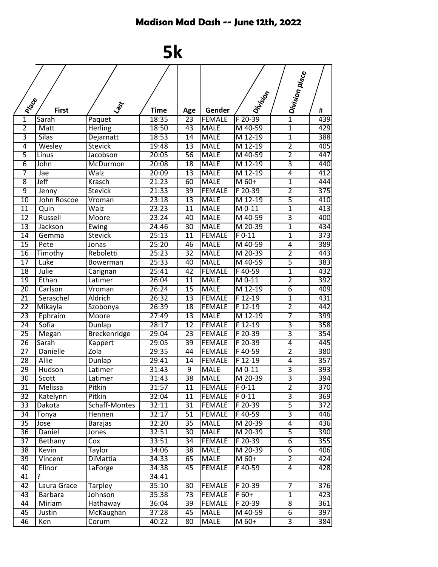## Madison Mad Dash -- June 12th, 2022

## **5k**

|                 |                |                     |             |                       |                                |                    | $  -  $ Division place    |                         |
|-----------------|----------------|---------------------|-------------|-----------------------|--------------------------------|--------------------|---------------------------|-------------------------|
|                 |                |                     |             |                       |                                |                    |                           |                         |
|                 |                |                     |             |                       |                                |                    |                           |                         |
|                 |                |                     |             |                       |                                |                    |                           |                         |
| <b>Proce</b>    | <b>First</b>   | Lagr                | <b>Time</b> | Age                   | Gender                         | IDivision          |                           | #                       |
| $\mathbf{1}$    | Sarah          | Paquet              | 18:35       | $\overline{23}$       | <b>FEMALE</b>                  | F 20-39            |                           | 439                     |
| $\overline{2}$  | Matt           | <b>Herling</b>      | 18:50       | 43                    | <b>MALE</b>                    | M 40-59            | 1                         | 429                     |
| 3               | Silas          | Dejarnatt           | 18:53       | 14                    | <b>MALE</b>                    | M 12-19            | $\overline{1}$            | 388                     |
| $\overline{4}$  | Wesley         | <b>Stevick</b>      | 19:48       | $\overline{13}$       | <b>MALE</b>                    | M 12-19            | $\overline{2}$            | 405                     |
| $\overline{5}$  | Linus          | Jacobson            | 20:05       | 56                    | <b>MALE</b>                    | M 40-59            | $\overline{2}$            | 447                     |
| $\overline{6}$  | John           | <b>McDurmon</b>     | 20:08       | 18                    | <b>MALE</b>                    | M 12-19            | 3                         | 440                     |
| 7               | Jae            | Walz                | 20:09       | 13                    | <b>MALE</b>                    | M 12-19            | 4                         | 412                     |
| $\overline{8}$  | Jeff           | Krasch              | 21:23       | 60                    | <b>MALE</b>                    | M 60+              | $\overline{1}$            | 444                     |
| 9               | Jenny          | <b>Stevick</b>      | 21:33       | 39                    | <b>FEMALE</b>                  | F 20-39            | $\overline{2}$            | $\overline{375}$        |
| 10              | John Roscoe    | Vroman              | 23:18       | 13                    | <b>MALE</b>                    | M 12-19            | 5                         | 410                     |
| $\overline{11}$ | Quin           | Walz                | 23:23       | $\overline{11}$       | <b>MALE</b>                    | $M$ 0-11           | 1                         | 413                     |
| $\overline{12}$ | Russell        | Moore               | 23:24       | 40                    | <b>MALE</b>                    | M 40-59            | $\overline{3}$            | 400                     |
| 13              | Jackson        | Ewing               | 24:46       | 30                    | <b>MALE</b>                    | M 20-39            | $\overline{1}$            | 434                     |
| $\overline{14}$ | Gemma          | <b>Stevick</b>      | 25:13       | $\overline{11}$       | <b>FEMALE</b>                  | $F$ 0-11           | $\overline{1}$            | 373                     |
| 15              | Pete           | Jonas               | 25:20       | 46                    | <b>MALE</b>                    | M 40-59            | $\overline{4}$            | 389                     |
| 16              | Timothy        | Reboletti           | 25:23       | 32                    | <b>MALE</b>                    | M 20-39            | $\overline{2}$            | 443                     |
| 17              | Luke           | <b>Bowerman</b>     | 25:33       | 40                    | <b>MALE</b>                    | M 40-59            | 5                         | 383                     |
| $\overline{18}$ | Julie          | Carignan            | 25:41       | 42                    | <b>FEMALE</b>                  | F40-59             | $\overline{1}$            | 432                     |
| $\overline{19}$ | Ethan          | Latimer             | 26:04       | $\overline{11}$       | <b>MALE</b>                    | $M$ 0-11           | $\overline{2}$            | 392                     |
| 20              | Carlson        | Vroman              | 26:24       | 15                    | <b>MALE</b>                    | M 12-19            | $\overline{6}$            | 409                     |
| $\overline{21}$ | Seraschel      | <b>Aldrich</b>      | 26:32       | $\overline{13}$       | <b>FEMALE</b>                  | F 12-19            | $\overline{1}$            | 431                     |
| $\overline{22}$ | Mikayla        | Szobonya            | 26:39       | $\overline{18}$       | <b>FEMALE</b>                  | $F12-19$           | $\overline{2}$            | 442                     |
| 23              | Ephraim        | Moore               | 27:49       | 13                    | <b>MALE</b>                    | M 12-19            | 7                         | 399                     |
| 24              | Sofia          | Dunlap              | 28:17       | $\overline{12}$       | <b>FEMALE</b>                  | $F12-19$           | 3                         | 358                     |
| $\overline{25}$ | Megan          | <b>Breckenridge</b> | 29:04       | $\overline{23}$       | <b>FEMALE</b>                  | F 20-39            | $\overline{3}$            | 354                     |
| $\overline{26}$ | Sarah          | Kappert             | 29:05       | $\overline{39}$       | <b>FEMALE</b>                  | $F 20-39$          | $\overline{4}$            | 445                     |
| $\overline{27}$ | Danielle       | Zola                | 29:35       | 44                    | <b>FEMALE</b>                  | F40-59             | $\overline{2}$            | 380                     |
| 28              | <b>Allie</b>   | Dunlap              | 29:41       | $\overline{14}$       | <b>FEMALE</b>                  | $F12-19$           | $\overline{4}$            | $\overline{357}$        |
| 29              | Hudson         | Latimer             | 31:43       | $\overline{9}$        | <b>MALE</b>                    | $M$ 0-11           | $\overline{3}$            | 393                     |
| $\overline{30}$ | Scott          | Latimer             | 31:43       | $\overline{38}$       | <b>MALE</b>                    | M 20-39            | $\overline{\overline{3}}$ | 394                     |
| 31              | Melissa        | Pitkin              | 31:57       | 11                    | <b>FEMALE</b>                  | $F 0-11$           | $\overline{2}$            | 370                     |
| 32              | Katelynn       | Pitkin              | 32:04       | 11                    | <b>FEMALE</b>                  | $F$ 0-11           | 3                         | 369                     |
| 33              | Dakota         | Schaff-Montes       | 32:11       | 31                    | <b>FEMALE</b>                  | F 20-39            | $\overline{5}$            | 372                     |
| 34              | Tonya          | Hennen              | 32:17       | 51                    | <b>FEMALE</b>                  | F40-59             | $\overline{3}$            | 446                     |
| $\overline{35}$ | Jose           | Barajas             | 32:20       | $\overline{35}$       | <b>MALE</b>                    | M 20-39            | $\overline{4}$            | $\overline{436}$        |
| $\overline{36}$ | Daniel         | Jones               | 32:51       | 30                    | <b>MALE</b>                    | M 20-39            | $\overline{5}$            | 390                     |
| $\overline{37}$ | Bethany        | Сох                 | 33:51       | $\overline{34}$       | <b>FEMALE</b>                  | F 20-39            | $\overline{6}$            | 355                     |
| 38              | Kevin          | <b>Taylor</b>       | 34:06       | $\overline{38}$       | <b>MALE</b>                    | M 20-39            | $\overline{6}$            | 406                     |
| 39              | Vincent        | DiMattia            | 34:33       | 65                    | <b>MALE</b>                    | M 60+              | $\overline{2}$            | 424                     |
| $\overline{40}$ | Elinor         | LaForge             | 34:38       | 45                    | <b>FEMALE</b>                  | F40-59             | $\overline{4}$            | 428                     |
| 41              | ?              |                     | 34:41       |                       |                                |                    |                           |                         |
| 42              | Laura Grace    | <b>Tarpley</b>      | 35:10       | 30                    | <b>FEMALE</b>                  | F 20-39            | $\overline{7}$            | $\overline{376}$        |
| 43<br>44        | <b>Barbara</b> | Johnson             | 35:38       | $\overline{73}$<br>39 | <b>FEMALE</b><br><b>FEMALE</b> | $F$ 60+<br>F 20-39 | $\overline{1}$<br>8       | 423                     |
| 45              | Miriam         | Hathaway            | 36:04       |                       |                                | M 40-59            | $\overline{6}$            | $\overline{361}$<br>397 |
|                 | Justin         | <b>McKaughan</b>    | 37:28       | 45                    | <b>MALE</b>                    |                    |                           |                         |
| 46              | Ken            | Corum               | 40:22       | 80                    | MALE                           | M 60+              | $\overline{3}$            | 384                     |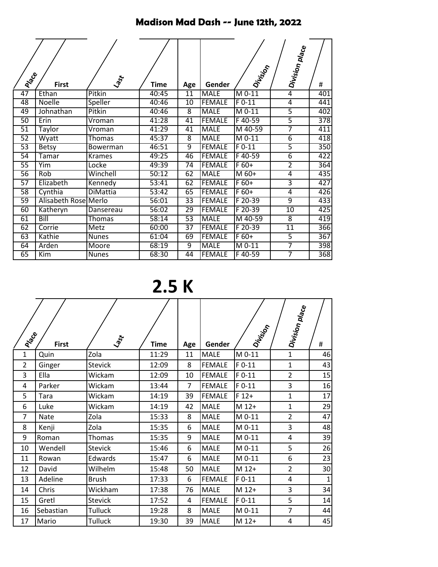## Madison Mad Dash -- June 12th, 2022

| Prace           | <b>First</b>            | Last            | <b>Time</b> | Age             | Gender        | Division  | Division place | #                |
|-----------------|-------------------------|-----------------|-------------|-----------------|---------------|-----------|----------------|------------------|
| 47              | Ethan                   | Pitkin          | 40:45       | $\overline{11}$ | <b>MALE</b>   | $M$ 0-11  | $\overline{4}$ | 401              |
| 48              | Noelle                  | Speller         | 40:46       | 10              | <b>FEMALE</b> | $F$ 0-11  | 4              | 441              |
| 49              | Johnathan               | Pitkin          | 40:46       | $\overline{8}$  | <b>MALE</b>   | $M$ 0-11  | $\overline{5}$ | 402              |
| 50              | Erin                    | Vroman          | 41:28       | $\overline{41}$ | <b>FEMALE</b> | $F$ 40-59 | $\overline{5}$ | $\overline{378}$ |
| $\overline{51}$ | Taylor                  | Vroman          | 41:29       | 41              | <b>MALE</b>   | M 40-59   | 7              | 411              |
| 52              | Wyatt                   | Thomas          | 45:37       | $\overline{8}$  | <b>MALE</b>   | M 0-11    | $\overline{6}$ | 418              |
| 53              | <b>Betsy</b>            | Bowerman        | 46:51       | 9               | <b>FEMALE</b> | $F$ 0-11  | $\overline{5}$ | 350              |
| 54              | Tamar                   | <b>Krames</b>   | 49:25       | 46              | <b>FEMALE</b> | F40-59    | $\overline{6}$ | 422              |
| 55              | Yim                     | Locke           | 49:39       | 74              | <b>FEMALE</b> | $F60+$    | $\overline{2}$ | 364              |
| 56              | Rob                     | Winchell        | 50:12       | 62              | <b>MALE</b>   | M 60+     | 4              | 435              |
| 57              | Elizabeth               | Kennedy         | 53:41       | 62              | <b>FEMALE</b> | $F60+$    | $\overline{3}$ | 427              |
| $\overline{58}$ | Cynthia                 | <b>DiMattia</b> | 53:42       | 65              | <b>FEMALE</b> | $F60+$    | 4              | 426              |
| 59              | Alisabeth Rose Merlo    |                 | 56:01       | 33              | <b>FEMALE</b> | F 20-39   | 9              | 433              |
| 60              | Katheryn                | Dansereau       | 56:02       | 29              | <b>FEMALE</b> | $F 20-39$ | 10             | 425              |
| 61              | Bill                    | Thomas          | 58:14       | $\overline{53}$ | <b>MALE</b>   | M 40-59   | $\overline{8}$ | 419              |
| 62              | Corrie                  | Metz            | 60:00       | 37              | <b>FEMALE</b> | F 20-39   | 11             | 366              |
| 63              | Kathie                  | <b>Nunes</b>    | 61:04       | 69              | <b>FEMALE</b> | $F60+$    | $\overline{5}$ | 367              |
| 64              | Arden                   | Moore           | 68:19       | $\overline{9}$  | <b>MALE</b>   | $M$ 0-11  | 7              | 398              |
| 65              | $\overline{\text{Kim}}$ | <b>Nunes</b>    | 68:30       | 44              | <b>FEMALE</b> | F40-59    | 7              | 368              |

**2.5 K**

| PIPER          | <b>First</b> | Lagt           | <b>Time</b> | Age            | Gender        | Division | Division place | #            |
|----------------|--------------|----------------|-------------|----------------|---------------|----------|----------------|--------------|
| 1              | Quin         | Zola           | 11:29       | 11             | <b>MALE</b>   | M 0-11   | $\mathbf{1}$   | 46           |
| $\overline{2}$ | Ginger       | <b>Stevick</b> | 12:09       | 8              | <b>FEMALE</b> | $F 0-11$ | $\mathbf{1}$   | 43           |
| 3              | Ella         | Wickam         | 12:09       | 10             | <b>FEMALE</b> | $F 0-11$ | $\overline{2}$ | 15           |
| 4              | Parker       | Wickam         | 13:44       | $\overline{7}$ | <b>FEMALE</b> | $F$ 0-11 | 3              | 16           |
| 5              | Tara         | Wickam         | 14:19       | 39             | <b>FEMALE</b> | $F 12+$  | $\mathbf{1}$   | 17           |
| 6              | Luke         | Wickam         | 14:19       | 42             | <b>MALE</b>   | M 12+    | $\mathbf{1}$   | 29           |
| 7              | <b>Nate</b>  | Zola           | 15:33       | 8              | <b>MALE</b>   | M 0-11   | $\overline{2}$ | 47           |
| 8              | Kenji        | Zola           | 15:35       | 6              | <b>MALE</b>   | M 0-11   | 3              | 48           |
| 9              | Roman        | Thomas         | 15:35       | 9              | <b>MALE</b>   | M 0-11   | 4              | 39           |
| 10             | Wendell      | <b>Stevick</b> | 15:46       | 6              | <b>MALE</b>   | M 0-11   | 5              | 26           |
| 11             | Rowan        | Edwards        | 15:47       | 6              | <b>MALE</b>   | M 0-11   | 6              | 23           |
| 12             | David        | Wilhelm        | 15:48       | 50             | <b>MALE</b>   | M 12+    | $\overline{2}$ | 30           |
| 13             | Adeline      | <b>Brush</b>   | 17:33       | 6              | <b>FEMALE</b> | $F$ 0-11 | 4              | $\mathbf{1}$ |
| 14             | Chris        | Wickham        | 17:38       | 76             | <b>MALE</b>   | M 12+    | 3              | 34           |
| 15             | Gretl        | <b>Stevick</b> | 17:52       | 4              | <b>FEMALE</b> | $F$ O-11 | 5              | 14           |
| 16             | Sebastian    | <b>Tulluck</b> | 19:28       | 8              | <b>MALE</b>   | M 0-11   | $\overline{7}$ | 44           |
| 17             | Mario        | <b>Tulluck</b> | 19:30       | 39             | <b>MALE</b>   | M 12+    | 4              | 45           |